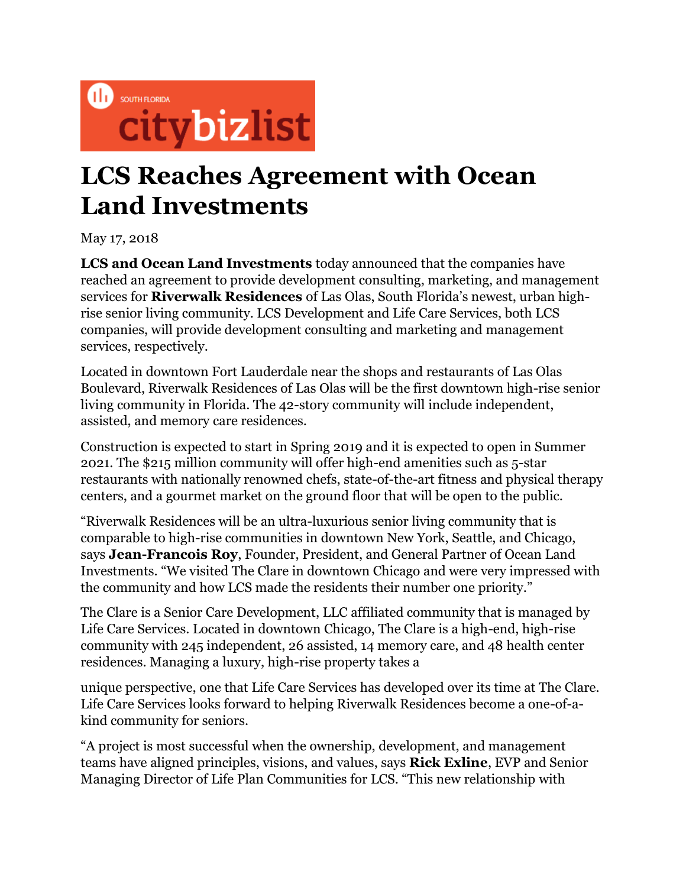

## **LCS Reaches Agreement with Ocean Land Investments**

May 17, 2018

**LCS and Ocean Land Investments** today announced that the companies have reached an agreement to provide development consulting, marketing, and management services for **Riverwalk Residences** of Las Olas, South Florida's newest, urban highrise senior living community. LCS Development and Life Care Services, both LCS companies, will provide development consulting and marketing and management services, respectively.

Located in downtown Fort Lauderdale near the shops and restaurants of Las Olas Boulevard, Riverwalk Residences of Las Olas will be the first downtown high-rise senior living community in Florida. The 42-story community will include independent, assisted, and memory care residences.

Construction is expected to start in Spring 2019 and it is expected to open in Summer 2021. The \$215 million community will offer high-end amenities such as 5-star restaurants with nationally renowned chefs, state-of-the-art fitness and physical therapy centers, and a gourmet market on the ground floor that will be open to the public.

"Riverwalk Residences will be an ultra-luxurious senior living community that is comparable to high-rise communities in downtown New York, Seattle, and Chicago, says **Jean-Francois Roy**, Founder, President, and General Partner of Ocean Land Investments. "We visited The Clare in downtown Chicago and were very impressed with the community and how LCS made the residents their number one priority."

The Clare is a Senior Care Development, LLC affiliated community that is managed by Life Care Services. Located in downtown Chicago, The Clare is a high-end, high-rise community with 245 independent, 26 assisted, 14 memory care, and 48 health center residences. Managing a luxury, high-rise property takes a

unique perspective, one that Life Care Services has developed over its time at The Clare. Life Care Services looks forward to helping Riverwalk Residences become a one-of-akind community for seniors.

"A project is most successful when the ownership, development, and management teams have aligned principles, visions, and values, says **Rick Exline**, EVP and Senior Managing Director of Life Plan Communities for LCS. "This new relationship with